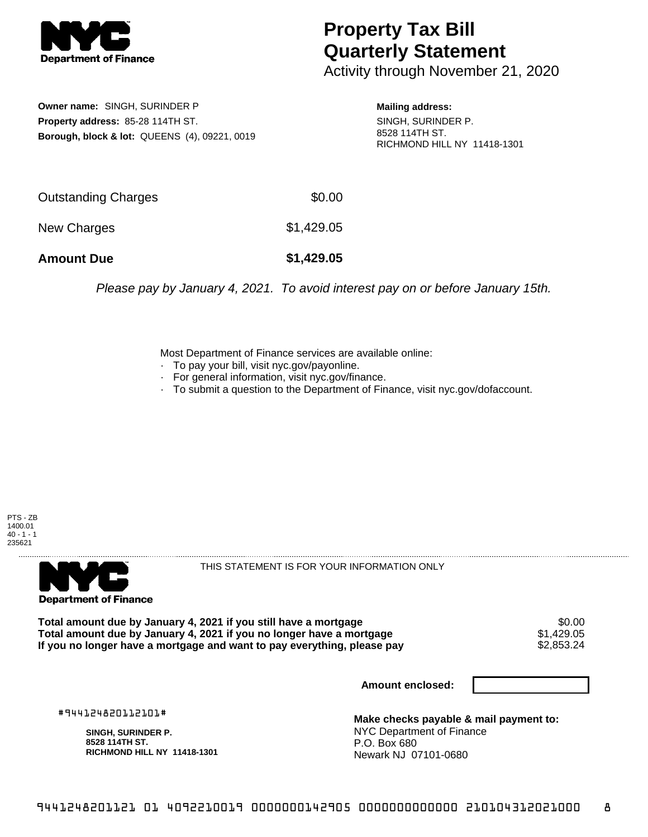

## **Property Tax Bill Quarterly Statement**

Activity through November 21, 2020

**Owner name:** SINGH, SURINDER P **Property address:** 85-28 114TH ST. **Borough, block & lot:** QUEENS (4), 09221, 0019 **Mailing address:**

SINGH, SURINDER P. 8528 114TH ST. RICHMOND HILL NY 11418-1301

| <b>Amount Due</b>   | \$1,429.05 |
|---------------------|------------|
| New Charges         | \$1,429.05 |
| Outstanding Charges | \$0.00     |

Please pay by January 4, 2021. To avoid interest pay on or before January 15th.

Most Department of Finance services are available online:

- · To pay your bill, visit nyc.gov/payonline.
- For general information, visit nyc.gov/finance.
- · To submit a question to the Department of Finance, visit nyc.gov/dofaccount.





THIS STATEMENT IS FOR YOUR INFORMATION ONLY

Total amount due by January 4, 2021 if you still have a mortgage \$0.00<br>Total amount due by January 4, 2021 if you no longer have a mortgage \$1.429.05 **Total amount due by January 4, 2021 if you no longer have a mortgage**  $$1,429.05$ **<br>If you no longer have a mortgage and want to pay everything, please pay**  $$2,853.24$ If you no longer have a mortgage and want to pay everything, please pay

**Amount enclosed:**

#944124820112101#

**SINGH, SURINDER P. 8528 114TH ST. RICHMOND HILL NY 11418-1301**

**Make checks payable & mail payment to:** NYC Department of Finance P.O. Box 680 Newark NJ 07101-0680